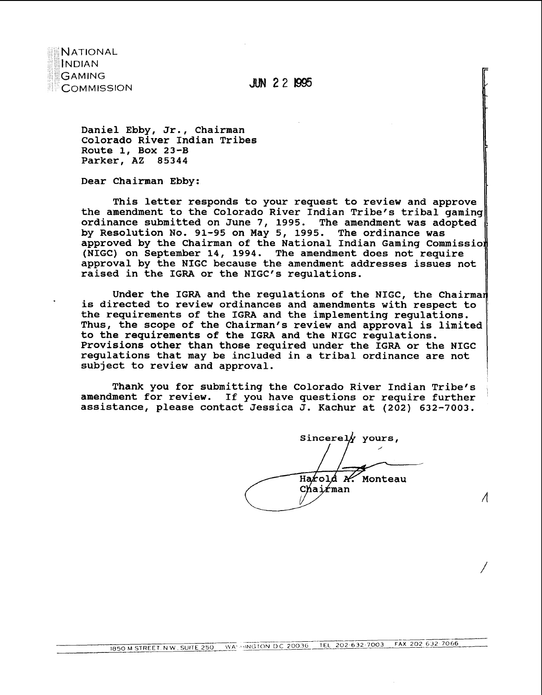

**JUN 22 1995** 

**Daniel Ebby, Jr., Chairman Colorado River Indian Tribes Route 1, Box 23-B Parker, AZ 85344** 

Dear Chairman Ebby:<br>|-<br>| This letter responds to your request to review and approve **the amendment to the Colorado River Indian Tribe's tribal gaming ordinance submitted on June 7, 1995. The amendment was adopted by Resolution No. 91-95 on May 5, 1995. The ordinance was approved by the Chairman of the National Indian Gaming Commissia (NIGC) on September 14, 1994. The amendment does not require approval by the NIGC because the amendment addresses issues not**  raised in the IGRA or the NIGC's regulations.

Under the IGRA and the regulations of the NIGC, the Chairman **is directed to review ordinances and amendments with respect to the requirements of the IGRA and the implementing regulations. Thus, the scope of the Chairman's review and approval is limited to the requirements of the IGRA and the NIGC regulations. Provisions other than those required under the IGRA or the NIGC regulations that may be included in a tribal ordinance are not subject to review and approval.** 

**Thank you for submitting the Colorado River Indian Tribe's** , **amendment for review. If you have questions or require further assistance, please contact Jessica J. Kachur at (202) 632-7003.** 

Sincerely yours,  $\frac{1}{\sqrt{2}}$ Harold *N*. Monteau

 $\Lambda$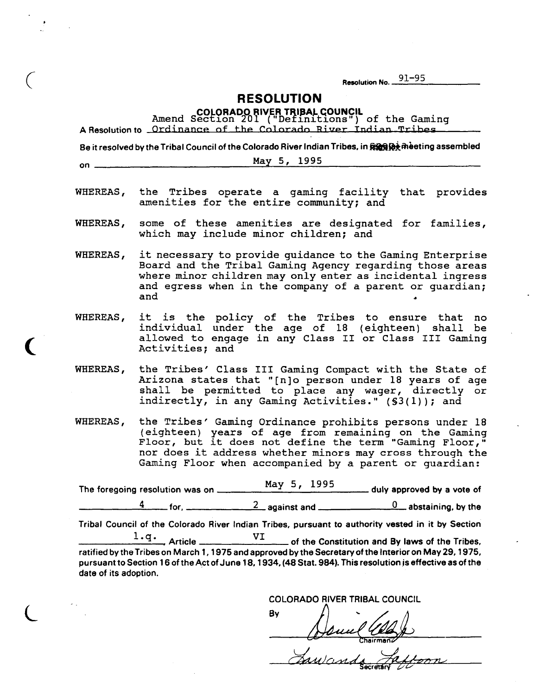Resolution No. 91-95

**RESOLUTION** 

COLORADO RIVER TRIBAL COUNCIL<br>Amend Section 201 ("Definitions") of the Gaming<br>A Resolution to Ordinance of the Colorado River Indian Tribes

Be it resolved by the Tribal Council of the Colorado River Indian Tribes, in RERRIC assembled May 5, 1995  $on$ WHEREAS, the Tribes operate a qaming facility that provides amenities for the entire community; and some of these amenities are designated for families, WHEREAS, which may include minor children; and WHEREAS, it necessary to provide quidance to the Gaming Enterprise Board and the Tribal Gaming Agency regarding those areas where minor children may only enter as incidental ingress and eqress when in the company of a parent or quardian; and it is the policy of the Tribes to ensure that no WHEREAS, individual under the age of 18 (eighteen) shall be allowed to engage in any Class II or Class III Gaming Activities; and WHEREAS, the Tribes' Class III Gaming Compact with the State of

Arizona states that "[n]o person under 18 years of age<br>shall be permitted to place any wager, directly or indirectly, in any Gaming Activities." (\$3(1)); and

WHEREAS, the Tribes' Gaming Ordinance prohibits persons under 18 (eighteen) years of age from remaining on the Gaming<br>Floor, but it does not define the term "Gaming Floor," nor does it address whether minors may cross through the Gaming Floor when accompanied by a parent or quardian:

May 5, 1995 duly approved by a vote of 

Tribal Council of the Colorado River Indian Tribes, pursuant to authority vested in it by Section

ratified by the Tribes on March 1, 1975 and approved by the Secretary of the Interior on May 29, 1975, pursuant to Section 16 of the Act of June 18, 1934, (48 Stat. 984). This resolution is effective as of the date of its adoption.

**COLORADO RIVER TRIBAL COUNCIL** By